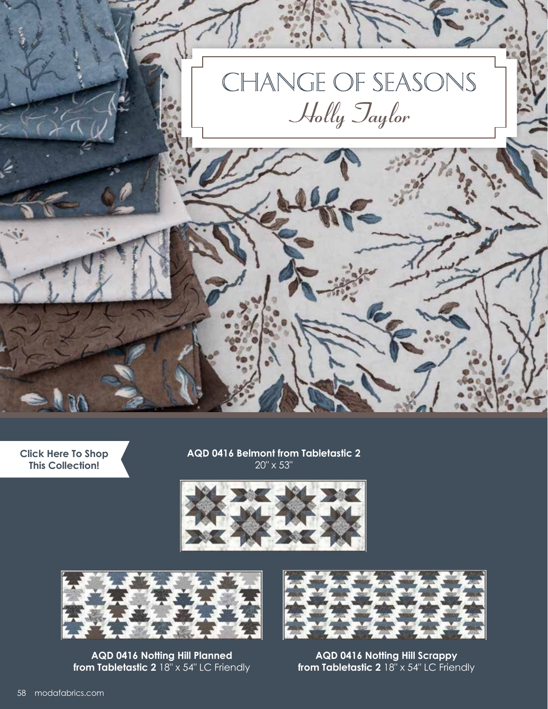

**[Click Here To Shop](https://my.modafabrics.com/shop/s/Holly_Taylor/Change_Of_Seasons/) This Collection!**

**AQD 0416 Belmont from Tabletastic 2** 20" x 53"





**AQD 0416 Notting Hill Planned from Tabletastic 2** 18" x 54" LC Friendly



**AQD 0416 Notting Hill Scrappy from Tabletastic 2** 18" x 54" LC Friendly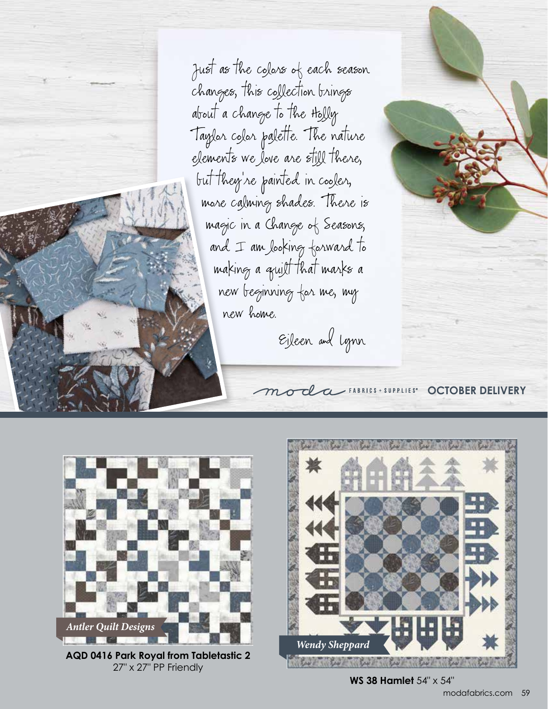Just as the colors of each season changes, this collection brings about a change to the Holly Taylor color palette. The nature elements we love are still there, but they're painted in cooler, more calming shades. There is magic in a Change of Seasons, and I am looking forward to making a quilt that marks a new beginning for me, my new home.

Eileen and Lynn

**OCTOBER DELIVERY** 



**AQD 0416 Park Royal from Tabletastic 2** 27" x 27" PP Friendly



**WS 38 Hamlet** 54" x 54"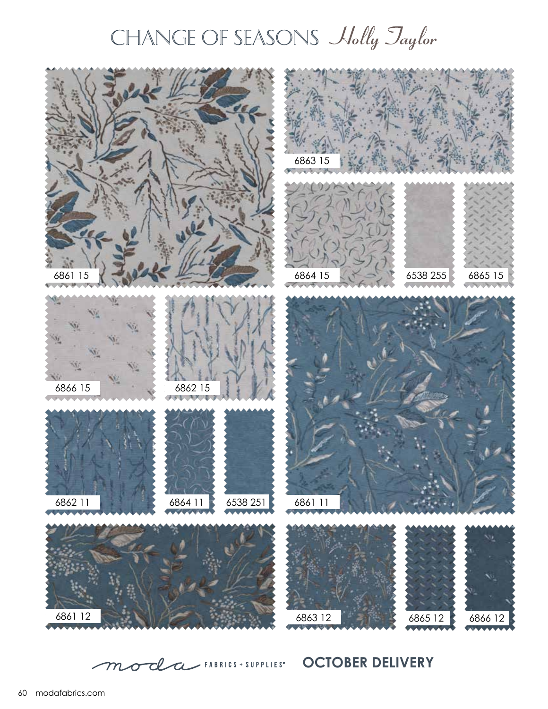## CHANGE OF SEASONS Holly Jaylor



mode HABRICS + SUPPLIES<sup>\*</sup> OCTOBER DELIVERY